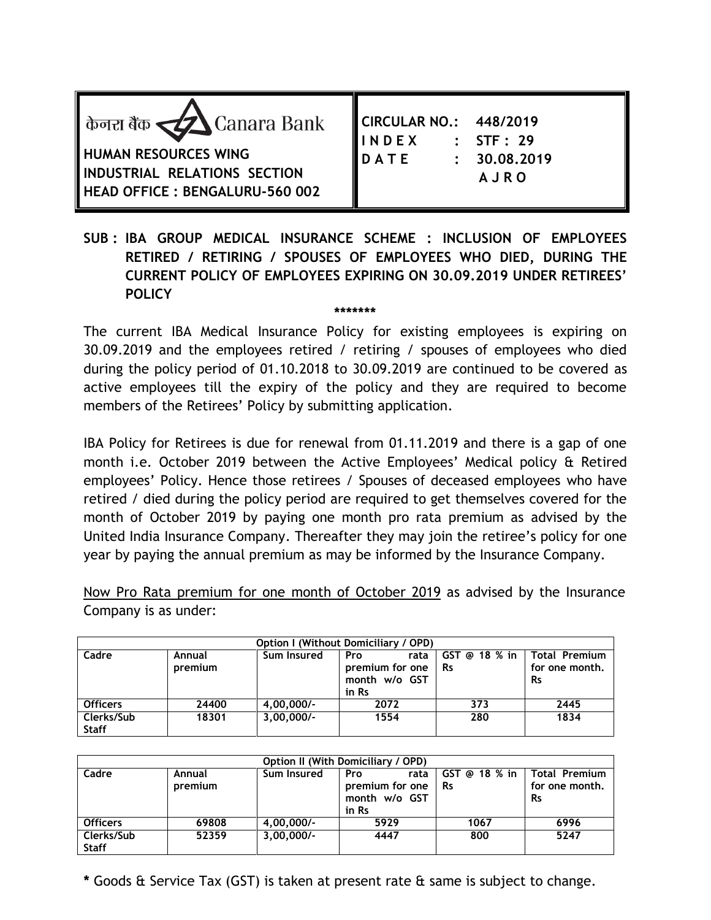| केनरा बैंक $\leq$ Canara Bank<br><b>HUMAN RESOURCES WING</b><br>INDUSTRIAL RELATIONS SECTION<br><b>HEAD OFFICE: BENGALURU-560 002</b> | CIRCULAR NO.: 448/2019<br>$:$ STF $:$ 29<br><b>IINDEX</b><br><b>DATE</b><br>: 30.08, 2019<br><b>AJRO</b> |
|---------------------------------------------------------------------------------------------------------------------------------------|----------------------------------------------------------------------------------------------------------|
|---------------------------------------------------------------------------------------------------------------------------------------|----------------------------------------------------------------------------------------------------------|

**SUB : IBA GROUP MEDICAL INSURANCE SCHEME : INCLUSION OF EMPLOYEES RETIRED / RETIRING / SPOUSES OF EMPLOYEES WHO DIED, DURING THE CURRENT POLICY OF EMPLOYEES EXPIRING ON 30.09.2019 UNDER RETIREES' POLICY**

**\*\*\*\*\*\*\***

The current IBA Medical Insurance Policy for existing employees is expiring on 30.09.2019 and the employees retired / retiring / spouses of employees who died during the policy period of 01.10.2018 to 30.09.2019 are continued to be covered as active employees till the expiry of the policy and they are required to become members of the Retirees' Policy by submitting application.

IBA Policy for Retirees is due for renewal from 01.11.2019 and there is a gap of one month i.e. October 2019 between the Active Employees' Medical policy & Retired employees' Policy. Hence those retirees / Spouses of deceased employees who have retired / died during the policy period are required to get themselves covered for the month of October 2019 by paying one month pro rata premium as advised by the United India Insurance Company. Thereafter they may join the retiree's policy for one year by paying the annual premium as may be informed by the Insurance Company.

Now Pro Rata premium for one month of October 2019 as advised by the Insurance Company is as under:

| <b>Option I (Without Domiciliary / OPD)</b> |                   |              |                                                                 |                              |                                              |  |  |
|---------------------------------------------|-------------------|--------------|-----------------------------------------------------------------|------------------------------|----------------------------------------------|--|--|
| Cadre                                       | Annual<br>premium | Sum Insured  | <b>Pro</b><br>rata<br>premium for one<br>month w/o GST<br>in Rs | $GST$ @ 18 % in<br><b>Rs</b> | Total Premium<br>for one month.<br><b>Rs</b> |  |  |
| <b>Officers</b>                             | 24400             | $4,00,000/-$ | 2072                                                            | 373                          | 2445                                         |  |  |
| Clerks/Sub<br><b>Staff</b>                  | 18301             | $3.00.000/-$ | 1554                                                            | 280                          | 1834                                         |  |  |

| Option II (With Domiciliary / OPD) |                   |              |                                                                 |                            |                                                     |  |  |
|------------------------------------|-------------------|--------------|-----------------------------------------------------------------|----------------------------|-----------------------------------------------------|--|--|
| Cadre                              | Annual<br>premium | Sum Insured  | <b>Pro</b><br>rata<br>premium for one<br>month w/o GST<br>in Rs | GST @ 18 % in<br><b>Rs</b> | <b>Total Premium</b><br>for one month.<br><b>Rs</b> |  |  |
| <b>Officers</b>                    | 69808             | $4.00.000/-$ | 5929                                                            | 1067                       | 6996                                                |  |  |
| Clerks/Sub<br><b>Staff</b>         | 52359             | $3.00.000/-$ | 4447                                                            | 800                        | 5247                                                |  |  |

**\*** Goods & Service Tax (GST) is taken at present rate & same is subject to change.